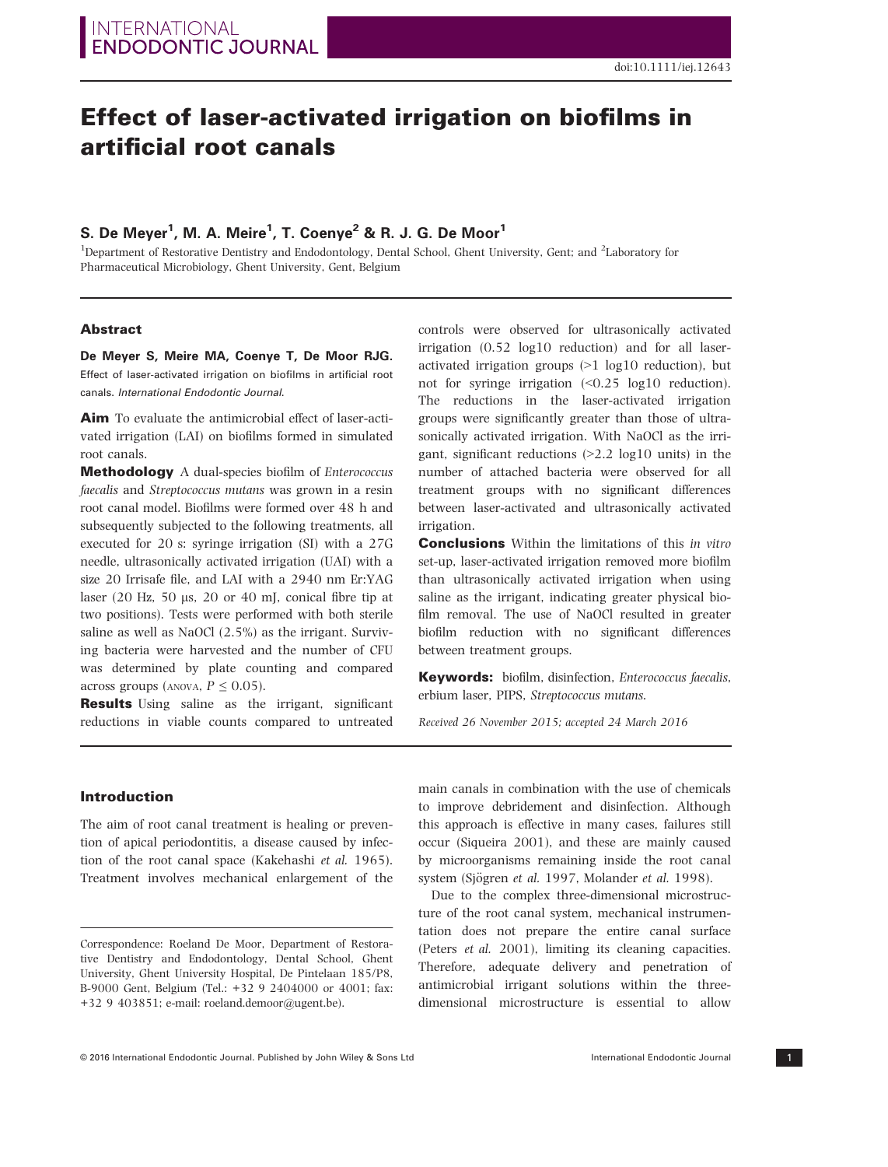# Effect of laser-activated irrigation on biofilms in artificial root canals

S. De Weyer, W. A. Weire, 1. Coenye<sup>3</sup> & R. J. G. De Woor<br><sup>1</sup>Department of Restorative Dentistry and Endodontology, Dental School, Ghent University, Gent; and <sup>2</sup>Laboratory for Pharmaceutical Microbiology, Ghent University, Gent, Belgium

### Abstract

effect of laser-activated irrigation on biofilms in artificial root canals. International Endodontic Journal.

Aim To evaluate the antimicrobial effect of laser-activated irrigation (LAI) on biofilms formed in simulated root canals.

Methodology A dual-species biofilm of Enterococcus faecalis and Streptococcus mutans was grown in a resin root canal model. Biofilms were formed over 48 h and subsequently subjected to the following treatments, all executed for 20 s: syringe irrigation (SI) with a 27G needle, ultrasonically activated irrigation (UAI) with a size 20 Irrisafe file, and LAI with a 2940 nm Er:YAG laser (20 Hz, 50  $\mu$ s, 20 or 40 mJ, conical fibre tip at two positions). Tests were performed with both sterile saline as well as NaOCl (2.5%) as the irrigant. Surviving bacteria were harvested and the number of CFU was determined by plate counting and compared across groups (ANOVA,  $P \leq 0.05$ ).

**Results** Using saline as the irrigant, significant reductions in viable counts compared to untreated controls were observed for ultrasonically activated irrigation (0.52 log10 reduction) and for all laseractivated irrigation groups (>1 log10 reduction), but not for syringe irrigation (<0.25 log10 reduction). The reductions in the laser-activated irrigation groups were significantly greater than those of ultrasonically activated irrigation. With NaOCl as the irrigant, significant reductions  $(>2.2 \log 10 \text{ units})$  in the number of attached bacteria were observed for all treatment groups with no significant differences between laser-activated and ultrasonically activated irrigation.

**Conclusions** Within the limitations of this in vitro set-up, laser-activated irrigation removed more biofilm than ultrasonically activated irrigation when using saline as the irrigant, indicating greater physical biofilm removal. The use of NaOCl resulted in greater biofilm reduction with no significant differences between treatment groups.

Keywords: biofilm, disinfection, Enterococcus faecalis, erbium laser, PIPS, Streptococcus mutans.

Received 26 November 2015; accepted 24 March 2016

#### Introduction

The aim of root canal treatment is healing or prevention of apical periodontitis, a disease caused by infection of the root canal space (Kakehashi et al. 1965). Treatment involves mechanical enlargement of the main canals in combination with the use of chemicals to improve debridement and disinfection. Although this approach is effective in many cases, failures still occur (Siqueira 2001), and these are mainly caused by microorganisms remaining inside the root canal system (Sjögren et al. 1997, Molander et al. 1998).

Due to the complex three-dimensional microstructure of the root canal system, mechanical instrumentation does not prepare the entire canal surface (Peters et al. 2001), limiting its cleaning capacities. Therefore, adequate delivery and penetration of antimicrobial irrigant solutions within the threedimensional microstructure is essential to allow

Correspondence: Roeland De Moor, Department of Restorative Dentistry and Endodontology, Dental School, Ghent University, Ghent University Hospital, De Pintelaan 185/P8, B-9000 Gent, Belgium (Tel.: +32 9 2404000 or 4001; fax: +32 9 403851; e-mail: roeland.demoor@ugent.be).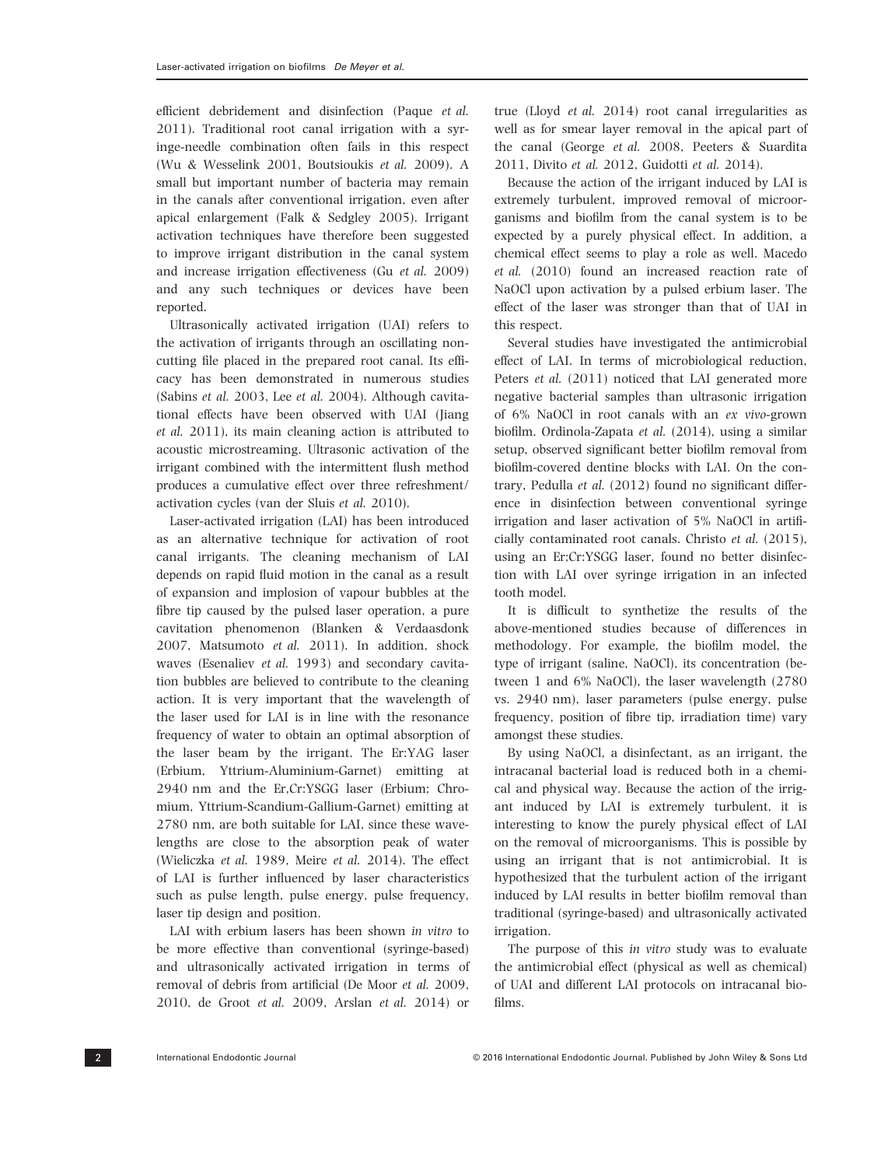efficient debridement and disinfection (Paque et al. 2011). Traditional root canal irrigation with a syringe-needle combination often fails in this respect (Wu & Wesselink 2001, Boutsioukis et al. 2009). A small but important number of bacteria may remain in the canals after conventional irrigation, even after apical enlargement (Falk & Sedgley 2005). Irrigant activation techniques have therefore been suggested to improve irrigant distribution in the canal system and increase irrigation effectiveness (Gu et al. 2009) and any such techniques or devices have been reported.

Ultrasonically activated irrigation (UAI) refers to the activation of irrigants through an oscillating noncutting file placed in the prepared root canal. Its efficacy has been demonstrated in numerous studies (Sabins et al. 2003, Lee et al. 2004). Although cavitational effects have been observed with UAI (Jiang et al. 2011), its main cleaning action is attributed to acoustic microstreaming. Ultrasonic activation of the irrigant combined with the intermittent flush method produces a cumulative effect over three refreshment/ activation cycles (van der Sluis et al. 2010).

Laser-activated irrigation (LAI) has been introduced as an alternative technique for activation of root canal irrigants. The cleaning mechanism of LAI depends on rapid fluid motion in the canal as a result of expansion and implosion of vapour bubbles at the fibre tip caused by the pulsed laser operation, a pure cavitation phenomenon (Blanken & Verdaasdonk 2007, Matsumoto et al. 2011). In addition, shock waves (Esenaliev et al. 1993) and secondary cavitation bubbles are believed to contribute to the cleaning action. It is very important that the wavelength of the laser used for LAI is in line with the resonance frequency of water to obtain an optimal absorption of the laser beam by the irrigant. The Er:YAG laser (Erbium, Yttrium-Aluminium-Garnet) emitting at 2940 nm and the Er,Cr:YSGG laser (Erbium; Chromium, Yttrium-Scandium-Gallium-Garnet) emitting at 2780 nm, are both suitable for LAI, since these wavelengths are close to the absorption peak of water (Wieliczka et al. 1989, Meire et al. 2014). The effect of LAI is further influenced by laser characteristics such as pulse length, pulse energy, pulse frequency, laser tip design and position.

LAI with erbium lasers has been shown in vitro to be more effective than conventional (syringe-based) and ultrasonically activated irrigation in terms of removal of debris from artificial (De Moor et al. 2009, 2010, de Groot et al. 2009, Arslan et al. 2014) or

true (Lloyd et al. 2014) root canal irregularities as well as for smear layer removal in the apical part of the canal (George et al. 2008, Peeters & Suardita 2011, Divito et al. 2012, Guidotti et al. 2014).

Because the action of the irrigant induced by LAI is extremely turbulent, improved removal of microorganisms and biofilm from the canal system is to be expected by a purely physical effect. In addition, a chemical effect seems to play a role as well. Macedo et al. (2010) found an increased reaction rate of NaOCl upon activation by a pulsed erbium laser. The effect of the laser was stronger than that of UAI in this respect.

Several studies have investigated the antimicrobial effect of LAI. In terms of microbiological reduction, Peters et al. (2011) noticed that LAI generated more negative bacterial samples than ultrasonic irrigation of 6% NaOCl in root canals with an ex vivo-grown biofilm. Ordinola-Zapata et al. (2014), using a similar setup, observed significant better biofilm removal from biofilm-covered dentine blocks with LAI. On the contrary, Pedulla et al. (2012) found no significant difference in disinfection between conventional syringe irrigation and laser activation of 5% NaOCl in artificially contaminated root canals. Christo et al. (2015), using an Er;Cr:YSGG laser, found no better disinfection with LAI over syringe irrigation in an infected tooth model.

It is difficult to synthetize the results of the above-mentioned studies because of differences in methodology. For example, the biofilm model, the type of irrigant (saline, NaOCl), its concentration (between 1 and 6% NaOCl), the laser wavelength (2780 vs. 2940 nm), laser parameters (pulse energy, pulse frequency, position of fibre tip, irradiation time) vary amongst these studies.

By using NaOCl, a disinfectant, as an irrigant, the intracanal bacterial load is reduced both in a chemical and physical way. Because the action of the irrigant induced by LAI is extremely turbulent, it is interesting to know the purely physical effect of LAI on the removal of microorganisms. This is possible by using an irrigant that is not antimicrobial. It is hypothesized that the turbulent action of the irrigant induced by LAI results in better biofilm removal than traditional (syringe-based) and ultrasonically activated irrigation.

The purpose of this in vitro study was to evaluate the antimicrobial effect (physical as well as chemical) of UAI and different LAI protocols on intracanal biofilms.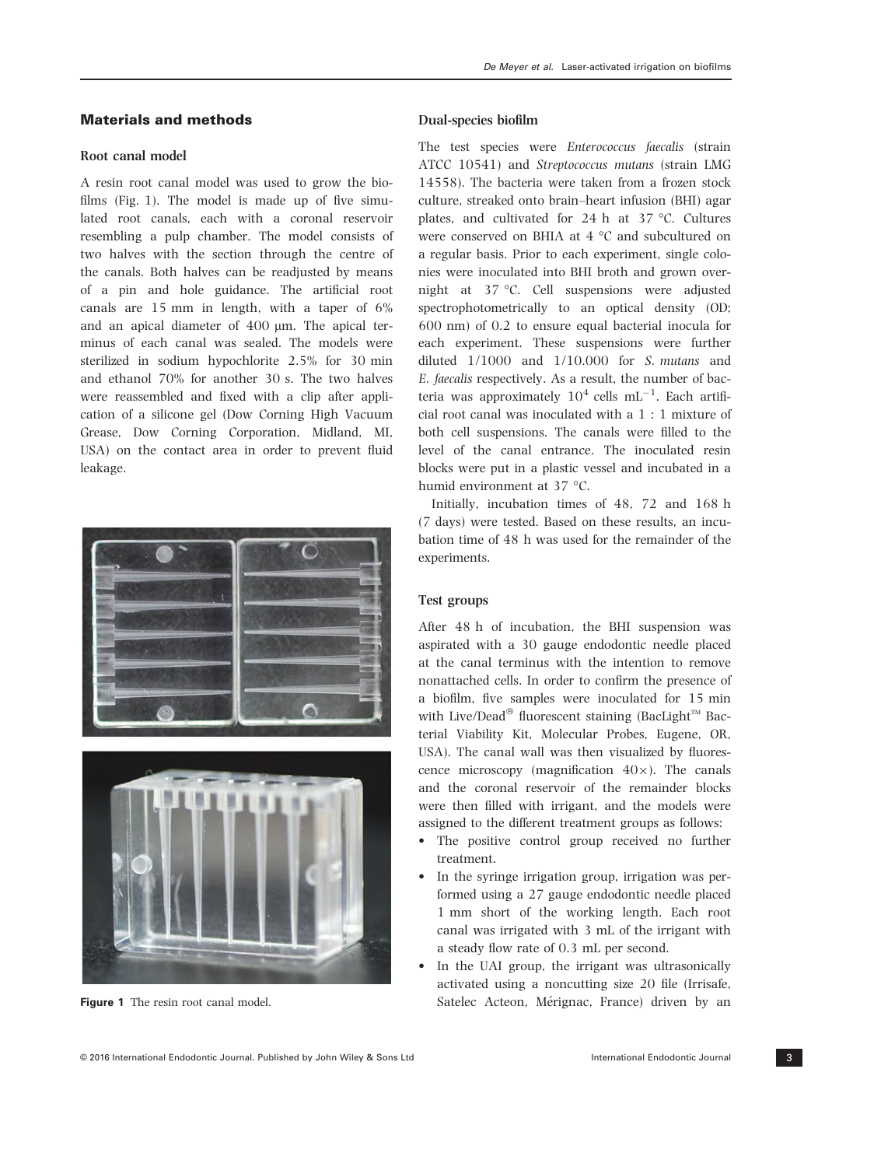# Materials and methods

### Root canal model

A resin root canal model was used to grow the biofilms (Fig. 1). The model is made up of five simulated root canals, each with a coronal reservoir resembling a pulp chamber. The model consists of two halves with the section through the centre of the canals. Both halves can be readjusted by means of a pin and hole guidance. The artificial root canals are 15 mm in length, with a taper of 6% and an apical diameter of 400 µm. The apical terminus of each canal was sealed. The models were sterilized in sodium hypochlorite 2.5% for 30 min and ethanol 70% for another 30 s. The two halves were reassembled and fixed with a clip after application of a silicone gel (Dow Corning High Vacuum Grease, Dow Corning Corporation, Midland, MI, USA) on the contact area in order to prevent fluid leakage.





Figure 1 The resin root canal model.

#### Dual-species biofilm

The test species were Enterococcus faecalis (strain ATCC 10541) and Streptococcus mutans (strain LMG 14558). The bacteria were taken from a frozen stock culture, streaked onto brain–heart infusion (BHI) agar plates, and cultivated for 24 h at 37 °C. Cultures were conserved on BHIA at 4 °C and subcultured on a regular basis. Prior to each experiment, single colonies were inoculated into BHI broth and grown overnight at 37 °C. Cell suspensions were adjusted spectrophotometrically to an optical density (OD; 600 nm) of 0.2 to ensure equal bacterial inocula for each experiment. These suspensions were further diluted 1/1000 and 1/10.000 for S. mutans and E. faecalis respectively. As a result, the number of bacteria was approximately  $10^4$  cells  $mL^{-1}$ . Each artificial root canal was inoculated with a 1 : 1 mixture of both cell suspensions. The canals were filled to the level of the canal entrance. The inoculated resin blocks were put in a plastic vessel and incubated in a humid environment at 37 °C.

Initially, incubation times of 48, 72 and 168 h (7 days) were tested. Based on these results, an incubation time of 48 h was used for the remainder of the experiments.

### Test groups

After 48 h of incubation, the BHI suspension was aspirated with a 30 gauge endodontic needle placed at the canal terminus with the intention to remove nonattached cells. In order to confirm the presence of a biofilm, five samples were inoculated for 15 min with Live/Dead® fluorescent staining (BacLight $T^M$  Bacterial Viability Kit, Molecular Probes, Eugene, OR, USA). The canal wall was then visualized by fluorescence microscopy (magnification  $40\times$ ). The canals and the coronal reservoir of the remainder blocks were then filled with irrigant, and the models were assigned to the different treatment groups as follows:

- The positive control group received no further treatment.
- In the syringe irrigation group, irrigation was performed using a 27 gauge endodontic needle placed 1 mm short of the working length. Each root canal was irrigated with 3 mL of the irrigant with a steady flow rate of 0.3 mL per second.
- In the UAI group, the irrigant was ultrasonically activated using a noncutting size 20 file (Irrisafe, Satelec Acteon, Mérignac, France) driven by an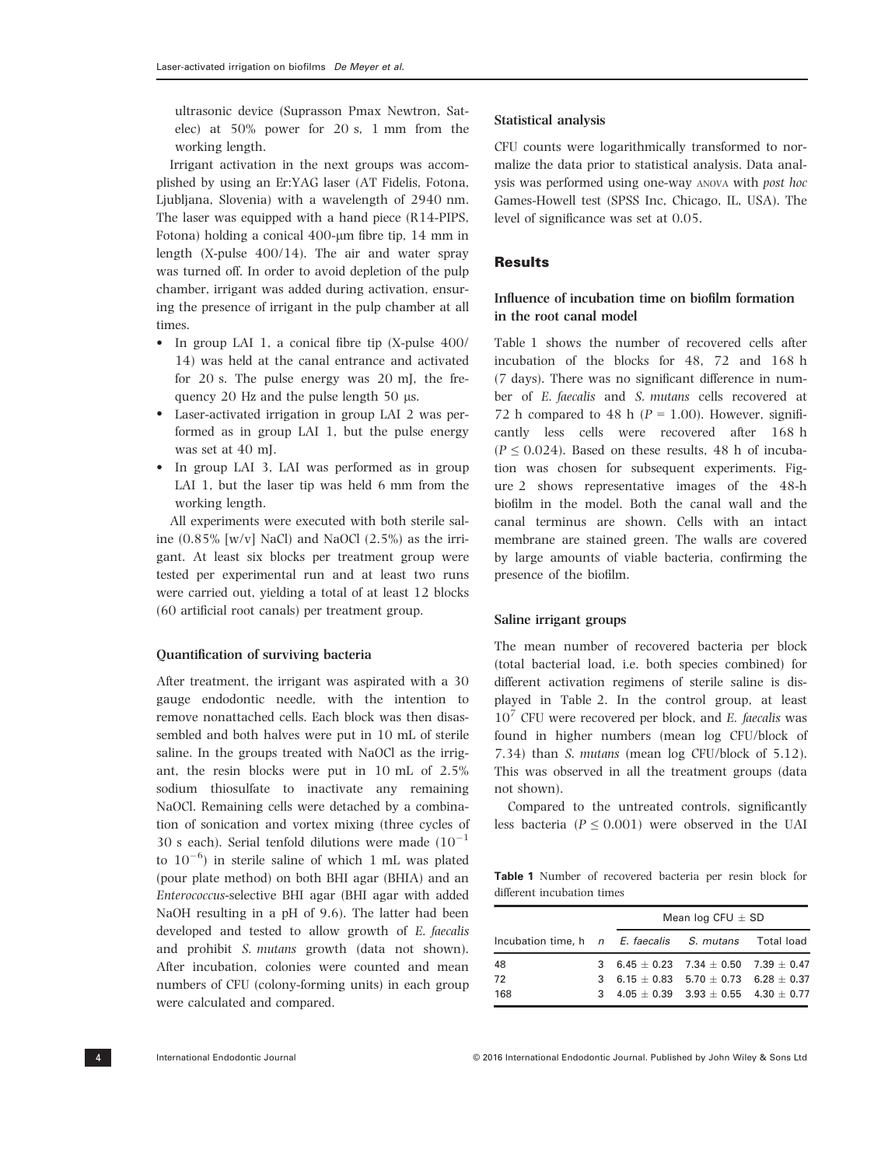ultrasonic device (Suprasson Pmax Newtron, Satelec) at 50% power for 20 s, 1 mm from the working length.

Irrigant activation in the next groups was accomplished by using an Er:YAG laser (AT Fidelis, Fotona, Ljubljana, Slovenia) with a wavelength of 2940 nm. The laser was equipped with a hand piece (R14-PIPS, Fotona) holding a conical  $400$ -µm fibre tip, 14 mm in length (X-pulse 400/14). The air and water spray was turned off. In order to avoid depletion of the pulp chamber, irrigant was added during activation, ensuring the presence of irrigant in the pulp chamber at all times.

- In group LAI 1, a conical fibre tip  $(X$ -pulse 400/ 14) was held at the canal entrance and activated for 20 s. The pulse energy was 20 mJ, the frequency 20 Hz and the pulse length 50  $\mu$ s.
- Laser-activated irrigation in group LAI 2 was performed as in group LAI 1, but the pulse energy was set at 40 mJ.
- In group LAI 3, LAI was performed as in group LAI 1, but the laser tip was held 6 mm from the working length.

All experiments were executed with both sterile saline  $(0.85\%$  [w/v] NaCl) and NaOCl  $(2.5\%)$  as the irrigant. At least six blocks per treatment group were tested per experimental run and at least two runs were carried out, yielding a total of at least 12 blocks (60 artificial root canals) per treatment group.

#### Quantification of surviving bacteria

After treatment, the irrigant was aspirated with a 30 gauge endodontic needle, with the intention to remove nonattached cells. Each block was then disassembled and both halves were put in 10 mL of sterile saline. In the groups treated with NaOCl as the irrigant, the resin blocks were put in 10 mL of 2.5% sodium thiosulfate to inactivate any remaining NaOCl. Remaining cells were detached by a combination of sonication and vortex mixing (three cycles of 30 s each). Serial tenfold dilutions were made  $(10^{-1}$ to  $10^{-6}$ ) in sterile saline of which 1 mL was plated (pour plate method) on both BHI agar (BHIA) and an Enterococcus-selective BHI agar (BHI agar with added NaOH resulting in a pH of 9.6). The latter had been developed and tested to allow growth of E. faecalis and prohibit S. mutans growth (data not shown). After incubation, colonies were counted and mean numbers of CFU (colony-forming units) in each group were calculated and compared.

#### Statistical analysis

CFU counts were logarithmically transformed to normalize the data prior to statistical analysis. Data analysis was performed using one-way ANOVA with post hoc Games-Howell test (SPSS Inc, Chicago, IL, USA). The level of significance was set at 0.05.

# **Results**

# Influence of incubation time on biofilm formation in the root canal model

Table 1 shows the number of recovered cells after incubation of the blocks for 48, 72 and 168 h (7 days). There was no significant difference in number of E. faecalis and S. mutans cells recovered at 72 h compared to 48 h ( $P = 1.00$ ). However, significantly less cells were recovered after 168 h  $(P \le 0.024)$ . Based on these results, 48 h of incubation was chosen for subsequent experiments. Figure 2 shows representative images of the 48-h biofilm in the model. Both the canal wall and the canal terminus are shown. Cells with an intact membrane are stained green. The walls are covered by large amounts of viable bacteria, confirming the presence of the biofilm.

### Saline irrigant groups

The mean number of recovered bacteria per block (total bacterial load, i.e. both species combined) for different activation regimens of sterile saline is displayed in Table 2. In the control group, at least  $10<sup>7</sup>$  CFU were recovered per block, and *E. faecalis* was found in higher numbers (mean log CFU/block of 7.34) than S. mutans (mean log CFU/block of 5.12). This was observed in all the treatment groups (data not shown).

Compared to the untreated controls, significantly less bacteria ( $P \le 0.001$ ) were observed in the UAI

Table 1 Number of recovered bacteria per resin block for different incubation times

|                                                       |   | Mean log CFU $\pm$ SD |                                                   |  |  |
|-------------------------------------------------------|---|-----------------------|---------------------------------------------------|--|--|
| Incubation time, h n E. faecalis S. mutans Total load |   |                       |                                                   |  |  |
| 48                                                    |   |                       | 3 6.45 $\pm$ 0.23 7.34 $\pm$ 0.50 7.39 $\pm$ 0.47 |  |  |
| 72                                                    |   |                       | 3 $6.15 + 0.83$ $5.70 + 0.73$ $6.28 + 0.37$       |  |  |
| 168                                                   | 3 |                       | $4.05 + 0.39$ $3.93 + 0.55$ $4.30 + 0.77$         |  |  |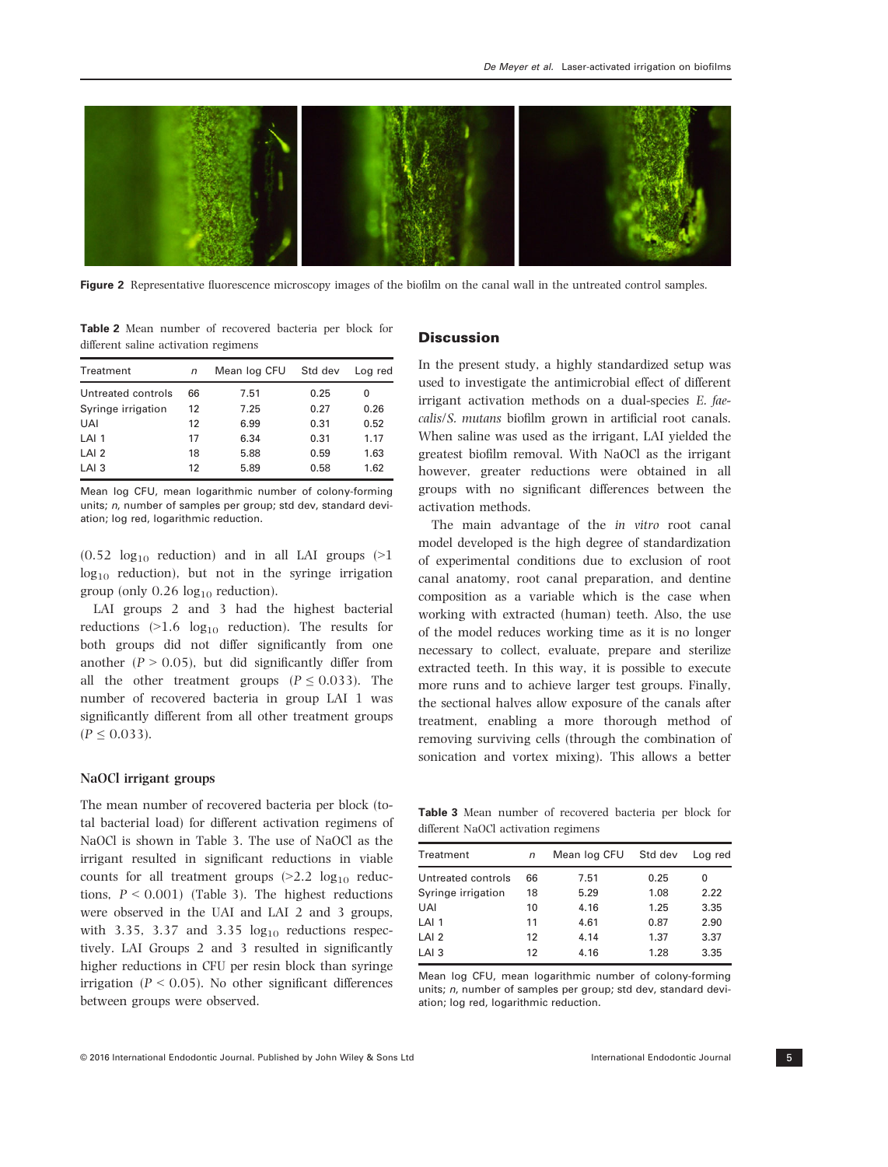

Figure 2 Representative fluorescence microscopy images of the biofilm on the canal wall in the untreated control samples.

Table 2 Mean number of recovered bacteria per block for different saline activation regimens

| Treatment          | n  | Mean log CFU | Std dev | Loa red |
|--------------------|----|--------------|---------|---------|
| Untreated controls | 66 | 7.51         | 0.25    | 0       |
| Syringe irrigation | 12 | 7.25         | 0.27    | 0.26    |
| <b>UAI</b>         | 12 | 6.99         | 0.31    | 0.52    |
| LAI <sub>1</sub>   | 17 | 6.34         | 0.31    | 1.17    |
| LAI <sub>2</sub>   | 18 | 5.88         | 0.59    | 1.63    |
| LAI <sub>3</sub>   | 12 | 5.89         | 0.58    | 1.62    |
|                    |    |              |         |         |

Mean log CFU, mean logarithmic number of colony-forming units; *n*, number of samples per group; std dev, standard deviation; log red, logarithmic reduction.

 $(0.52 \log_{10} \text{ reduction})$  and in all LAI groups  $(>1$  $log_{10}$  reduction), but not in the syringe irrigation group (only  $0.26 \text{ log}_{10}$  reduction).

LAI groups 2 and 3 had the highest bacterial reductions  $(>1.6 \log_{10}$  reduction). The results for both groups did not differ significantly from one another ( $P > 0.05$ ), but did significantly differ from all the other treatment groups ( $P \le 0.033$ ). The number of recovered bacteria in group LAI 1 was significantly different from all other treatment groups  $(P \le 0.033)$ .

# NaOCl irrigant groups

The mean number of recovered bacteria per block (total bacterial load) for different activation regimens of NaOCl is shown in Table 3. The use of NaOCl as the irrigant resulted in significant reductions in viable counts for all treatment groups  $(>2.2 \log_{10} \text{reduc-})$ tions,  $P \leq 0.001$ ) (Table 3). The highest reductions were observed in the UAI and LAI 2 and 3 groups, with 3.35, 3.37 and 3.35  $log_{10}$  reductions respectively. LAI Groups 2 and 3 resulted in significantly higher reductions in CFU per resin block than syringe irrigation ( $P < 0.05$ ). No other significant differences between groups were observed.

# **Discussion**

In the present study, a highly standardized setup was used to investigate the antimicrobial effect of different irrigant activation methods on a dual-species E. faecalis/S. mutans biofilm grown in artificial root canals. When saline was used as the irrigant, LAI yielded the greatest biofilm removal. With NaOCl as the irrigant however, greater reductions were obtained in all groups with no significant differences between the activation methods.

The main advantage of the in vitro root canal model developed is the high degree of standardization of experimental conditions due to exclusion of root canal anatomy, root canal preparation, and dentine composition as a variable which is the case when working with extracted (human) teeth. Also, the use of the model reduces working time as it is no longer necessary to collect, evaluate, prepare and sterilize extracted teeth. In this way, it is possible to execute more runs and to achieve larger test groups. Finally, the sectional halves allow exposure of the canals after treatment, enabling a more thorough method of removing surviving cells (through the combination of sonication and vortex mixing). This allows a better

Table 3 Mean number of recovered bacteria per block for different NaOCl activation regimens

| Treatment          | $\sqrt{n}$ | Mean log CFU | Std dev | Loa red |
|--------------------|------------|--------------|---------|---------|
| Untreated controls | 66         | 7.51         | 0.25    | 0       |
| Syringe irrigation | 18         | 5.29         | 1.08    | 2.22    |
| UAI                | 10         | 4.16         | 1.25    | 3.35    |
| LAI <sub>1</sub>   | 11         | 4.61         | 0.87    | 2.90    |
| LAI <sub>2</sub>   | 12         | 4.14         | 1.37    | 3.37    |
| LAI <sub>3</sub>   | 12         | 4.16         | 1.28    | 3.35    |
|                    |            |              |         |         |

Mean log CFU, mean logarithmic number of colony-forming units; n, number of samples per group; std dev, standard deviation; log red, logarithmic reduction.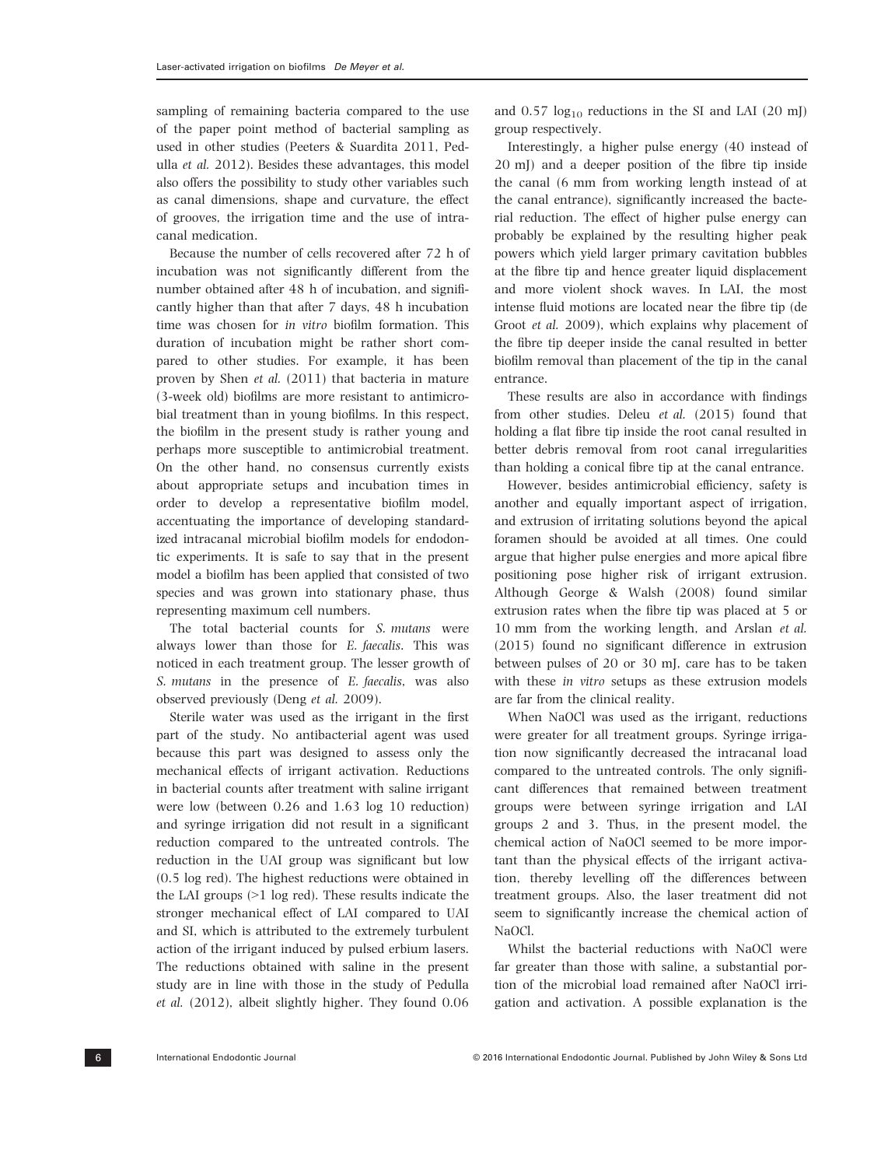sampling of remaining bacteria compared to the use of the paper point method of bacterial sampling as used in other studies (Peeters & Suardita 2011, Pedulla et al. 2012). Besides these advantages, this model also offers the possibility to study other variables such as canal dimensions, shape and curvature, the effect of grooves, the irrigation time and the use of intracanal medication.

Because the number of cells recovered after 72 h of incubation was not significantly different from the number obtained after 48 h of incubation, and significantly higher than that after 7 days, 48 h incubation time was chosen for in vitro biofilm formation. This duration of incubation might be rather short compared to other studies. For example, it has been proven by Shen et al. (2011) that bacteria in mature (3-week old) biofilms are more resistant to antimicrobial treatment than in young biofilms. In this respect, the biofilm in the present study is rather young and perhaps more susceptible to antimicrobial treatment. On the other hand, no consensus currently exists about appropriate setups and incubation times in order to develop a representative biofilm model, accentuating the importance of developing standardized intracanal microbial biofilm models for endodontic experiments. It is safe to say that in the present model a biofilm has been applied that consisted of two species and was grown into stationary phase, thus representing maximum cell numbers.

The total bacterial counts for S. mutans were always lower than those for E. faecalis. This was noticed in each treatment group. The lesser growth of S. mutans in the presence of E. faecalis, was also observed previously (Deng et al. 2009).

Sterile water was used as the irrigant in the first part of the study. No antibacterial agent was used because this part was designed to assess only the mechanical effects of irrigant activation. Reductions in bacterial counts after treatment with saline irrigant were low (between 0.26 and 1.63 log 10 reduction) and syringe irrigation did not result in a significant reduction compared to the untreated controls. The reduction in the UAI group was significant but low (0.5 log red). The highest reductions were obtained in the LAI groups (>1 log red). These results indicate the stronger mechanical effect of LAI compared to UAI and SI, which is attributed to the extremely turbulent action of the irrigant induced by pulsed erbium lasers. The reductions obtained with saline in the present study are in line with those in the study of Pedulla et al. (2012), albeit slightly higher. They found 0.06

and  $0.57 \log_{10}$  reductions in the SI and LAI (20 mJ) group respectively.

Interestingly, a higher pulse energy (40 instead of 20 mJ) and a deeper position of the fibre tip inside the canal (6 mm from working length instead of at the canal entrance), significantly increased the bacterial reduction. The effect of higher pulse energy can probably be explained by the resulting higher peak powers which yield larger primary cavitation bubbles at the fibre tip and hence greater liquid displacement and more violent shock waves. In LAI, the most intense fluid motions are located near the fibre tip (de Groot et al. 2009), which explains why placement of the fibre tip deeper inside the canal resulted in better biofilm removal than placement of the tip in the canal entrance.

These results are also in accordance with findings from other studies. Deleu et al. (2015) found that holding a flat fibre tip inside the root canal resulted in better debris removal from root canal irregularities than holding a conical fibre tip at the canal entrance.

However, besides antimicrobial efficiency, safety is another and equally important aspect of irrigation, and extrusion of irritating solutions beyond the apical foramen should be avoided at all times. One could argue that higher pulse energies and more apical fibre positioning pose higher risk of irrigant extrusion. Although George & Walsh (2008) found similar extrusion rates when the fibre tip was placed at 5 or 10 mm from the working length, and Arslan et al. (2015) found no significant difference in extrusion between pulses of 20 or 30 mJ, care has to be taken with these in vitro setups as these extrusion models are far from the clinical reality.

When NaOCl was used as the irrigant, reductions were greater for all treatment groups. Syringe irrigation now significantly decreased the intracanal load compared to the untreated controls. The only significant differences that remained between treatment groups were between syringe irrigation and LAI groups 2 and 3. Thus, in the present model, the chemical action of NaOCl seemed to be more important than the physical effects of the irrigant activation, thereby levelling off the differences between treatment groups. Also, the laser treatment did not seem to significantly increase the chemical action of NaOCl.

Whilst the bacterial reductions with NaOCl were far greater than those with saline, a substantial portion of the microbial load remained after NaOCl irrigation and activation. A possible explanation is the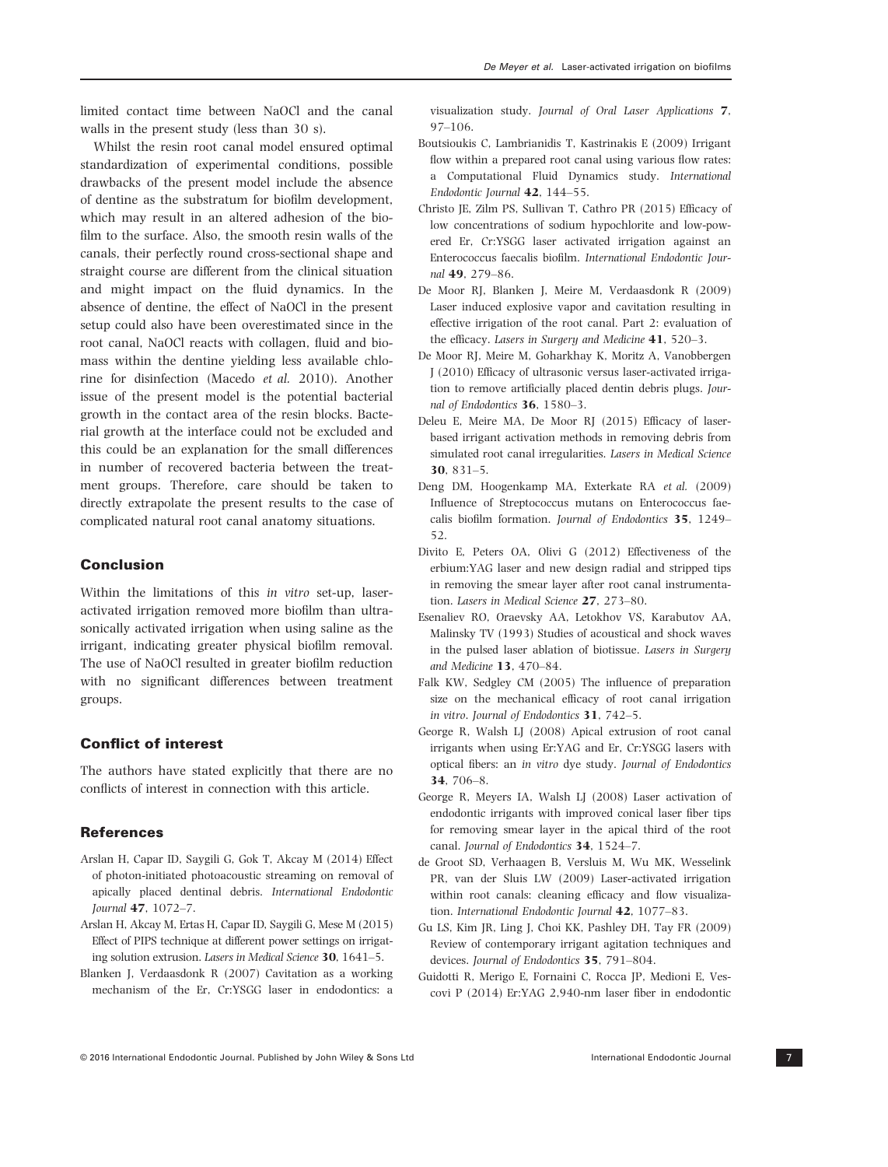limited contact time between NaOCl and the canal walls in the present study (less than 30 s).

Whilst the resin root canal model ensured optimal standardization of experimental conditions, possible drawbacks of the present model include the absence of dentine as the substratum for biofilm development, which may result in an altered adhesion of the biofilm to the surface. Also, the smooth resin walls of the canals, their perfectly round cross-sectional shape and straight course are different from the clinical situation and might impact on the fluid dynamics. In the absence of dentine, the effect of NaOCl in the present setup could also have been overestimated since in the root canal, NaOCl reacts with collagen, fluid and biomass within the dentine yielding less available chlorine for disinfection (Macedo et al. 2010). Another issue of the present model is the potential bacterial growth in the contact area of the resin blocks. Bacterial growth at the interface could not be excluded and this could be an explanation for the small differences in number of recovered bacteria between the treatment groups. Therefore, care should be taken to directly extrapolate the present results to the case of complicated natural root canal anatomy situations.

# Conclusion

Within the limitations of this in vitro set-up, laseractivated irrigation removed more biofilm than ultrasonically activated irrigation when using saline as the irrigant, indicating greater physical biofilm removal. The use of NaOCl resulted in greater biofilm reduction with no significant differences between treatment groups.

# Conflict of interest

The authors have stated explicitly that there are no conflicts of interest in connection with this article.

# **References**

- Arslan H, Capar ID, Saygili G, Gok T, Akcay M (2014) Effect of photon-initiated photoacoustic streaming on removal of apically placed dentinal debris. International Endodontic Journal 47, 1072–7.
- Arslan H, Akcay M, Ertas H, Capar ID, Saygili G, Mese M (2015) Effect of PIPS technique at different power settings on irrigating solution extrusion. Lasers in Medical Science 30, 1641–5.
- Blanken J, Verdaasdonk R (2007) Cavitation as a working mechanism of the Er, Cr:YSGG laser in endodontics: a

visualization study. Journal of Oral Laser Applications 7, 97–106.

- Boutsioukis C, Lambrianidis T, Kastrinakis E (2009) Irrigant flow within a prepared root canal using various flow rates: a Computational Fluid Dynamics study. International Endodontic Journal 42, 144–55.
- Christo JE, Zilm PS, Sullivan T, Cathro PR (2015) Efficacy of low concentrations of sodium hypochlorite and low-powered Er, Cr:YSGG laser activated irrigation against an Enterococcus faecalis biofilm. International Endodontic Journal 49, 279–86.
- De Moor RJ, Blanken J, Meire M, Verdaasdonk R (2009) Laser induced explosive vapor and cavitation resulting in effective irrigation of the root canal. Part 2: evaluation of the efficacy. Lasers in Surgery and Medicine 41, 520–3.
- De Moor RJ, Meire M, Goharkhay K, Moritz A, Vanobbergen J (2010) Efficacy of ultrasonic versus laser-activated irrigation to remove artificially placed dentin debris plugs. Journal of Endodontics 36, 1580–3.
- Deleu E, Meire MA, De Moor RJ (2015) Efficacy of laserbased irrigant activation methods in removing debris from simulated root canal irregularities. Lasers in Medical Science 30, 831–5.
- Deng DM, Hoogenkamp MA, Exterkate RA et al. (2009) Influence of Streptococcus mutans on Enterococcus faecalis biofilm formation. Journal of Endodontics 35, 1249– 52.
- Divito E, Peters OA, Olivi G (2012) Effectiveness of the erbium:YAG laser and new design radial and stripped tips in removing the smear layer after root canal instrumentation. Lasers in Medical Science 27, 273–80.
- Esenaliev RO, Oraevsky AA, Letokhov VS, Karabutov AA, Malinsky TV (1993) Studies of acoustical and shock waves in the pulsed laser ablation of biotissue. Lasers in Surgery and Medicine 13, 470–84.
- Falk KW, Sedgley CM (2005) The influence of preparation size on the mechanical efficacy of root canal irrigation in vitro. Journal of Endodontics 31, 742–5.
- George R, Walsh LJ (2008) Apical extrusion of root canal irrigants when using Er:YAG and Er, Cr:YSGG lasers with optical fibers: an in vitro dye study. Journal of Endodontics 34, 706–8.
- George R, Meyers IA, Walsh LJ (2008) Laser activation of endodontic irrigants with improved conical laser fiber tips for removing smear layer in the apical third of the root canal. Journal of Endodontics 34, 1524–7.
- de Groot SD, Verhaagen B, Versluis M, Wu MK, Wesselink PR, van der Sluis LW (2009) Laser-activated irrigation within root canals: cleaning efficacy and flow visualization. International Endodontic Journal 42, 1077–83.
- Gu LS, Kim JR, Ling J, Choi KK, Pashley DH, Tay FR (2009) Review of contemporary irrigant agitation techniques and devices. Journal of Endodontics 35, 791–804.
- Guidotti R, Merigo E, Fornaini C, Rocca JP, Medioni E, Vescovi P (2014) Er:YAG 2,940-nm laser fiber in endodontic